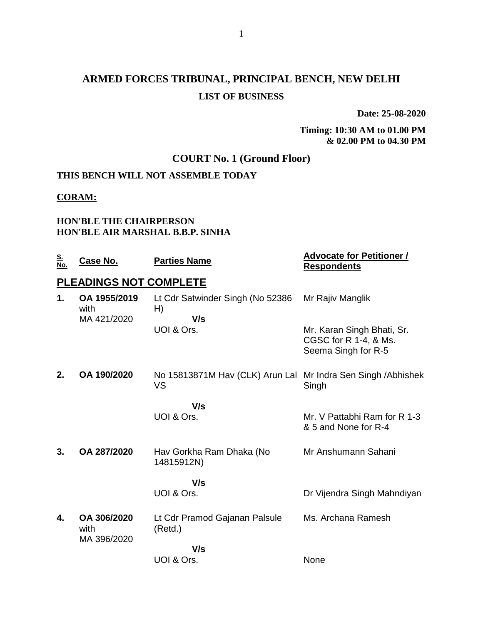## **ARMED FORCES TRIBUNAL, PRINCIPAL BENCH, NEW DELHI LIST OF BUSINESS**

**Date: 25-08-2020**

**Timing: 10:30 AM to 01.00 PM & 02.00 PM to 04.30 PM**

### **COURT No. 1 (Ground Floor)**

### **THIS BENCH WILL NOT ASSEMBLE TODAY**

#### **CORAM:**

#### **HON'BLE THE CHAIRPERSON HON'BLE AIR MARSHAL B.B.P. SINHA**

| <u>S.</u><br>No. | <u>Case No.</u>                     | <b>Parties Name</b>                                                 | <b>Advocate for Petitioner /</b><br><b>Respondents</b>                     |
|------------------|-------------------------------------|---------------------------------------------------------------------|----------------------------------------------------------------------------|
|                  | PLEADINGS NOT COMPLETE              |                                                                     |                                                                            |
| 1.               | OA 1955/2019<br>with<br>MA 421/2020 | Lt Cdr Satwinder Singh (No 52386<br>H)<br>V/s                       | Mr Rajiv Manglik                                                           |
|                  |                                     | UOI & Ors.                                                          | Mr. Karan Singh Bhati, Sr.<br>CGSC for R 1-4, & Ms.<br>Seema Singh for R-5 |
| 2.               | OA 190/2020                         | No 15813871M Hav (CLK) Arun Lal Mr Indra Sen Singh / Abhishek<br>VS | Singh                                                                      |
|                  |                                     | V/s<br>UOI & Ors.                                                   | Mr. V Pattabhi Ram for R 1-3<br>& 5 and None for R-4                       |
| 3.               | OA 287/2020                         | Hav Gorkha Ram Dhaka (No<br>14815912N)                              | Mr Anshumann Sahani                                                        |
|                  |                                     | V/s<br>UOI & Ors.                                                   | Dr Vijendra Singh Mahndiyan                                                |
| 4.               | OA 306/2020<br>with<br>MA 396/2020  | Lt Cdr Pramod Gajanan Palsule<br>(Retd.)                            | Ms. Archana Ramesh                                                         |
|                  |                                     | V/s<br>UOI & Ors.                                                   | None                                                                       |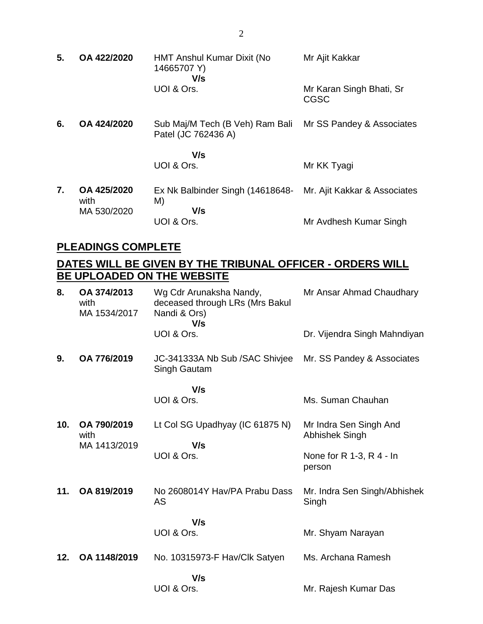| 5. | OA 422/2020         | <b>HMT Anshul Kumar Dixit (No</b><br>14665707 Y)<br>V/s | Mr Ajit Kakkar                          |
|----|---------------------|---------------------------------------------------------|-----------------------------------------|
|    |                     | UOI & Ors.                                              | Mr Karan Singh Bhati, Sr<br><b>CGSC</b> |
| 6. | OA 424/2020         | Sub Maj/M Tech (B Veh) Ram Bali<br>Patel (JC 762436 A)  | Mr SS Pandey & Associates               |
|    |                     | V/s                                                     |                                         |
|    |                     | UOI & Ors.                                              | Mr KK Tyagi                             |
| 7. | OA 425/2020<br>with | Ex Nk Balbinder Singh (14618648-<br>M)                  | Mr. Ajit Kakkar & Associates            |
|    | MA 530/2020         | V/s                                                     |                                         |
|    |                     | UOI & Ors.                                              | Mr Avdhesh Kumar Singh                  |

### **PLEADINGS COMPLETE**

### **DATES WILL BE GIVEN BY THE TRIBUNAL OFFICER - ORDERS WILL BE UPLOADED ON THE WEBSITE**

| 8.  | OA 374/2013<br>with<br>MA 1534/2017 | Wg Cdr Arunaksha Nandy,<br>deceased through LRs (Mrs Bakul<br>Nandi & Ors)<br>V/s | Mr Ansar Ahmad Chaudhary                 |
|-----|-------------------------------------|-----------------------------------------------------------------------------------|------------------------------------------|
|     |                                     | UOI & Ors.                                                                        | Dr. Vijendra Singh Mahndiyan             |
| 9.  | OA 776/2019                         | JC-341333A Nb Sub / SAC Shivjee<br>Singh Gautam                                   | Mr. SS Pandey & Associates               |
|     |                                     | V/s                                                                               |                                          |
|     |                                     | UOI & Ors.                                                                        | Ms. Suman Chauhan                        |
| 10. | OA 790/2019<br>with<br>MA 1413/2019 | Lt Col SG Upadhyay (IC 61875 N)<br>V/s                                            | Mr Indra Sen Singh And<br>Abhishek Singh |
|     |                                     | UOI & Ors.                                                                        | None for $R$ 1-3, $R$ 4 - In<br>person   |
| 11. | OA 819/2019                         | No 2608014Y Hav/PA Prabu Dass<br><b>AS</b>                                        | Mr. Indra Sen Singh/Abhishek<br>Singh    |
|     |                                     | V/s                                                                               |                                          |
|     |                                     | UOI & Ors.                                                                        | Mr. Shyam Narayan                        |
| 12. | OA 1148/2019                        | No. 10315973-F Hav/Clk Satyen                                                     | Ms. Archana Ramesh                       |
|     |                                     | V/s                                                                               |                                          |
|     |                                     | UOI & Ors.                                                                        | Mr. Rajesh Kumar Das                     |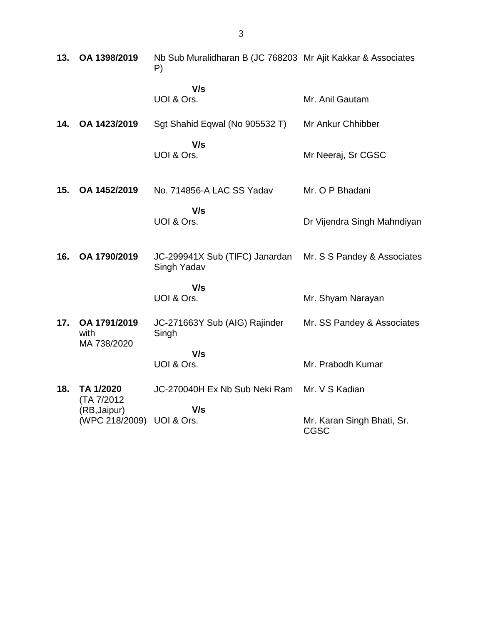| 13. | OA 1398/2019                                             | Nb Sub Muralidharan B (JC 768203 Mr Ajit Kakkar & Associates<br>P) |                                           |
|-----|----------------------------------------------------------|--------------------------------------------------------------------|-------------------------------------------|
|     |                                                          | V/s<br>UOI & Ors.                                                  | Mr. Anil Gautam                           |
| 14. | OA 1423/2019                                             | Sgt Shahid Eqwal (No 905532 T)                                     | Mr Ankur Chhibber                         |
|     |                                                          | V/s<br>UOI & Ors.                                                  | Mr Neeraj, Sr CGSC                        |
| 15. | OA 1452/2019                                             | No. 714856-A LAC SS Yadav                                          | Mr. O P Bhadani                           |
|     |                                                          | V/s<br>UOI & Ors.                                                  | Dr Vijendra Singh Mahndiyan               |
| 16. | OA 1790/2019                                             | JC-299941X Sub (TIFC) Janardan<br>Singh Yadav                      | Mr. S S Pandey & Associates               |
|     |                                                          | V/s<br>UOI & Ors.                                                  | Mr. Shyam Narayan                         |
| 17. | OA 1791/2019<br>with<br>MA 738/2020                      | JC-271663Y Sub (AIG) Rajinder<br>Singh                             | Mr. SS Pandey & Associates                |
|     |                                                          | V/s<br>UOI & Ors.                                                  | Mr. Prabodh Kumar                         |
| 18. | TA 1/2020                                                | JC-270040H Ex Nb Sub Neki Ram                                      | Mr. V S Kadian                            |
|     | (TA 7/2012)<br>(RB, Jaipur)<br>(WPC 218/2009) UOI & Ors. | V/s                                                                | Mr. Karan Singh Bhati, Sr.<br><b>CGSC</b> |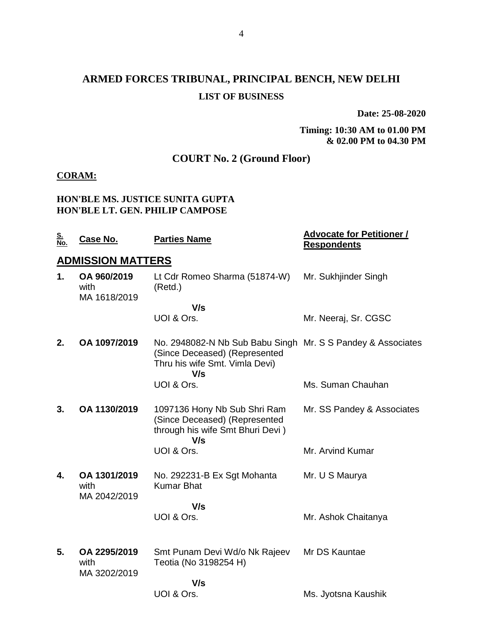## **ARMED FORCES TRIBUNAL, PRINCIPAL BENCH, NEW DELHI LIST OF BUSINESS**

**Date: 25-08-2020**

#### **Timing: 10:30 AM to 01.00 PM & 02.00 PM to 04.30 PM**

### **COURT No. 2 (Ground Floor)**

#### **CORAM:**

#### **HON'BLE MS. JUSTICE SUNITA GUPTA HON'BLE LT. GEN. PHILIP CAMPOSE**

| <u>S.</u><br>No. | <u>Case No.</u>                      | <b>Parties Name</b>                                                                                                                   | <b>Advocate for Petitioner /</b><br><b>Respondents</b> |
|------------------|--------------------------------------|---------------------------------------------------------------------------------------------------------------------------------------|--------------------------------------------------------|
|                  | <b>ADMISSION MATTERS</b>             |                                                                                                                                       |                                                        |
| 1.               | OA 960/2019<br>with<br>MA 1618/2019  | Lt Cdr Romeo Sharma (51874-W)<br>(Retd.)                                                                                              | Mr. Sukhjinder Singh                                   |
|                  |                                      | V/s<br>UOI & Ors.                                                                                                                     | Mr. Neeraj, Sr. CGSC                                   |
| 2.               | OA 1097/2019                         | No. 2948082-N Nb Sub Babu Singh Mr. S S Pandey & Associates<br>(Since Deceased) (Represented<br>Thru his wife Smt. Vimla Devi)<br>V/s |                                                        |
|                  |                                      | UOI & Ors.                                                                                                                            | Ms. Suman Chauhan                                      |
| 3.               | OA 1130/2019                         | 1097136 Hony Nb Sub Shri Ram<br>(Since Deceased) (Represented<br>through his wife Smt Bhuri Devi)<br>V/s                              | Mr. SS Pandey & Associates                             |
|                  |                                      | UOI & Ors.                                                                                                                            | Mr. Arvind Kumar                                       |
| 4.               | OA 1301/2019<br>with<br>MA 2042/2019 | No. 292231-B Ex Sgt Mohanta<br><b>Kumar Bhat</b>                                                                                      | Mr. U S Maurya                                         |
|                  |                                      | V/s<br>UOI & Ors.                                                                                                                     | Mr. Ashok Chaitanya                                    |
| 5.               | OA 2295/2019<br>with<br>MA 3202/2019 | Smt Punam Devi Wd/o Nk Rajeev<br>Teotia (No 3198254 H)                                                                                | Mr DS Kauntae                                          |
|                  |                                      | V/s<br>UOI & Ors.                                                                                                                     | Ms. Jyotsna Kaushik                                    |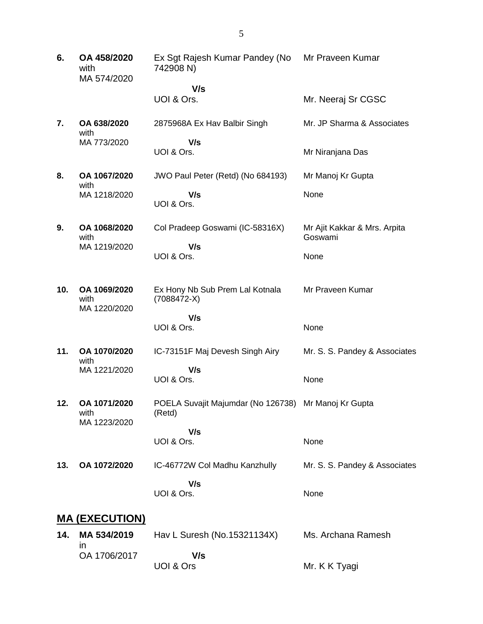- **6. OA 458/2020** with MA 574/2020 Ex Sgt Rajesh Kumar Pandey (No 742908 N)  **V/s** UOI & Ors. Mr Praveen Kumar Mr. Neeraj Sr CGSC **7. OA 638/2020** with MA 773/2020 2875968A Ex Hav Balbir Singh  **V/s** UOI & Ors. Mr. JP Sharma & Associates Mr Niranjana Das **8. OA 1067/2020** with MA 1218/2020 JWO Paul Peter (Retd) (No 684193)  **V/s** UOI & Ors. Mr Manoj Kr Gupta None **9. OA 1068/2020** with MA 1219/2020 Col Pradeep Goswami (IC-58316X)  **V/s** UOI & Ors. Mr Ajit Kakkar & Mrs. Arpita Goswami None **10. OA 1069/2020** with MA 1220/2020 Ex Hony Nb Sub Prem Lal Kotnala (7088472-X)  **V/s** UOI & Ors. Mr Praveen Kumar None **11. OA 1070/2020** with MA 1221/2020 IC-73151F Maj Devesh Singh Airy  **V/s** UOI & Ors. Mr. S. S. Pandey & Associates None **12. OA 1071/2020** with MA 1223/2020 POELA Suvajit Majumdar (No 126738) Mr Manoj Kr Gupta (Retd)  **V/s** UOI & Ors. None **13. OA 1072/2020** IC-46772W Col Madhu Kanzhully  **V/s** UOI & Ors. Mr. S. S. Pandey & Associates None **MA (EXECUTION)**
- **14. MA 534/2019** in OA 1706/2017 Hav L Suresh (No.15321134X)  **V/s** UOI & Ors Ms. Archana Ramesh Mr. K K Tyagi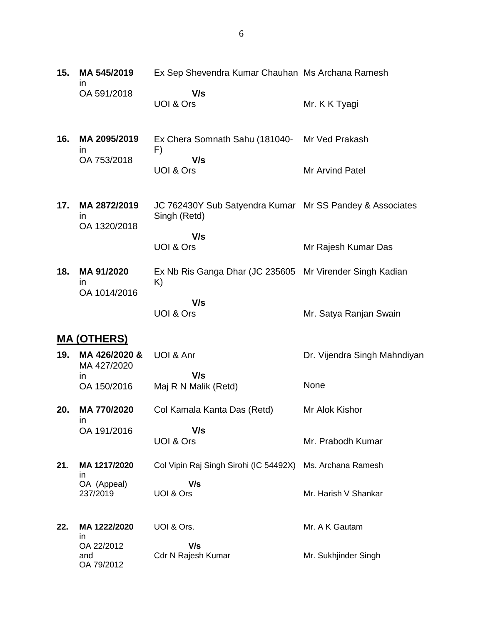| 15. | MA 545/2019<br>ın                            | Ex Sep Shevendra Kumar Chauhan Ms Archana Ramesh                         |                              |
|-----|----------------------------------------------|--------------------------------------------------------------------------|------------------------------|
|     | OA 591/2018                                  | V/s<br>UOI & Ors                                                         | Mr. K K Tyagi                |
| 16. | MA 2095/2019<br>$\mathsf{I}$                 | Ex Chera Somnath Sahu (181040-<br>F)                                     | Mr Ved Prakash               |
|     | OA 753/2018                                  | V/s<br>UOI & Ors                                                         | Mr Arvind Patel              |
| 17. | MA 2872/2019<br>$\mathsf{I}$<br>OA 1320/2018 | JC 762430Y Sub Satyendra Kumar Mr SS Pandey & Associates<br>Singh (Retd) |                              |
|     |                                              | V/s<br>UOI & Ors                                                         | Mr Rajesh Kumar Das          |
| 18. | MA 91/2020<br>$\mathsf{I}$<br>OA 1014/2016   | Ex Nb Ris Ganga Dhar (JC 235605 Mr Virender Singh Kadian<br>K)           |                              |
|     |                                              | V/s<br>UOI & Ors                                                         | Mr. Satya Ranjan Swain       |
|     | <u>MA (OTHERS)</u>                           |                                                                          |                              |
| 19. | MA 426/2020 &<br>MA 427/2020                 | UOI & Anr                                                                | Dr. Vijendra Singh Mahndiyan |
|     | $\mathsf{I}$<br>OA 150/2016                  | V/s<br>Maj R N Malik (Retd)                                              | None                         |
| 20. | MA 770/2020                                  | Col Kamala Kanta Das (Retd)                                              | Mr Alok Kishor               |
|     | <i>in</i><br>OA 191/2016                     | V/s<br>UOI & Ors                                                         | Mr. Prabodh Kumar            |
| 21. | MA 1217/2020<br>in                           | Col Vipin Raj Singh Sirohi (IC 54492X)                                   | Ms. Archana Ramesh           |
|     | OA (Appeal)<br>237/2019                      | V/s<br>UOI & Ors                                                         | Mr. Harish V Shankar         |
| 22. | MA 1222/2020<br>in                           | UOI & Ors.                                                               | Mr. A K Gautam               |
|     | OA 22/2012<br>and<br>OA 79/2012              | V/s<br>Cdr N Rajesh Kumar                                                | Mr. Sukhjinder Singh         |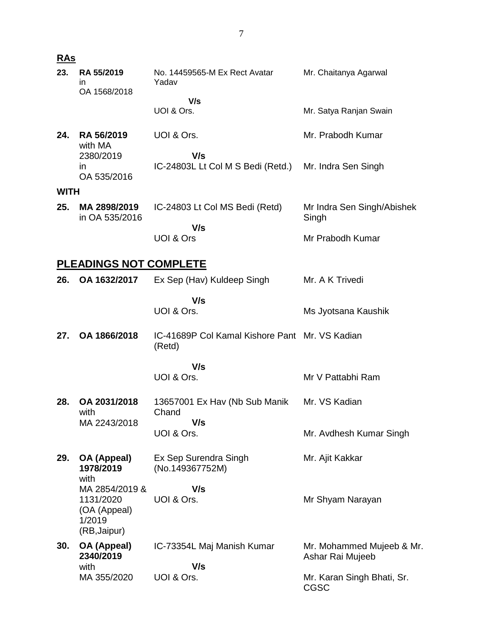| <u>RAs</u>  |                                                     |                                                          |                                               |
|-------------|-----------------------------------------------------|----------------------------------------------------------|-----------------------------------------------|
| 23.         | RA 55/2019<br>in<br>OA 1568/2018                    | No. 14459565-M Ex Rect Avatar<br>Yadav                   | Mr. Chaitanya Agarwal                         |
|             |                                                     | V/s<br>UOI & Ors.                                        | Mr. Satya Ranjan Swain                        |
| 24.         | RA 56/2019<br>with MA                               | UOI & Ors.                                               | Mr. Prabodh Kumar                             |
|             | 2380/2019<br>in<br>OA 535/2016                      | V/s<br>IC-24803L Lt Col M S Bedi (Retd.)                 | Mr. Indra Sen Singh                           |
| <b>WITH</b> |                                                     |                                                          |                                               |
| 25.         | MA 2898/2019<br>in OA 535/2016                      | IC-24803 Lt Col MS Bedi (Retd)                           | Mr Indra Sen Singh/Abishek<br>Singh           |
|             |                                                     | V/s<br>UOI & Ors                                         | Mr Prabodh Kumar                              |
|             | <b>PLEADINGS NOT COMPLETE</b>                       |                                                          |                                               |
| 26.         | OA 1632/2017                                        | Ex Sep (Hav) Kuldeep Singh                               | Mr. A K Trivedi                               |
|             |                                                     | V/s<br>UOI & Ors.                                        | Ms Jyotsana Kaushik                           |
| 27.         | OA 1866/2018                                        | IC-41689P Col Kamal Kishore Pant Mr. VS Kadian<br>(Retd) |                                               |
|             |                                                     | V/s                                                      |                                               |
|             |                                                     | UOI & Ors.                                               | Mr V Pattabhi Ram                             |
| 28.         | OA 2031/2018<br>with                                | 13657001 Ex Hav (Nb Sub Manik<br>Chand                   | Mr. VS Kadian                                 |
|             | MA 2243/2018                                        | V/s<br>UOI & Ors.                                        | Mr. Avdhesh Kumar Singh                       |
|             |                                                     |                                                          |                                               |
| 29.         | OA (Appeal)<br>1978/2019<br>with                    | Ex Sep Surendra Singh<br>(No.149367752M)                 | Mr. Ajit Kakkar                               |
|             | MA 2854/2019 &                                      | V/s                                                      |                                               |
|             | 1131/2020<br>(OA (Appeal)<br>1/2019<br>(RB, Jaipur) | UOI & Ors.                                               | Mr Shyam Narayan                              |
| 30.         | OA (Appeal)<br>2340/2019                            | IC-73354L Maj Manish Kumar                               | Mr. Mohammed Mujeeb & Mr.<br>Ashar Rai Mujeeb |
|             | with                                                | V/s                                                      |                                               |
|             | MA 355/2020                                         | UOI & Ors.                                               | Mr. Karan Singh Bhati, Sr.<br><b>CGSC</b>     |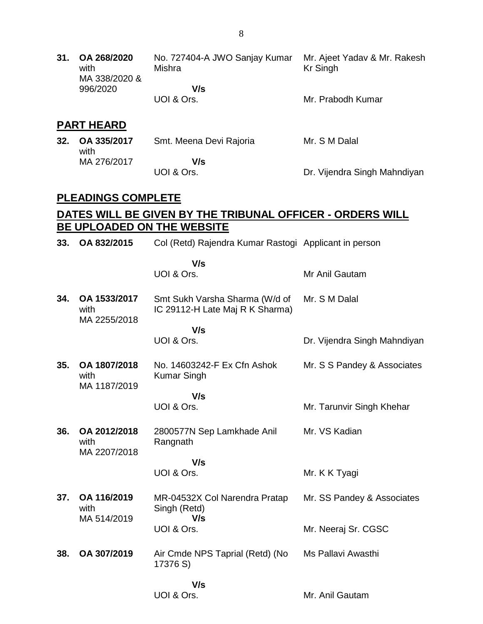**31. OA 268/2020** with MA 338/2020 & 996/2020 No. 727404-A JWO Sanjay Kumar Mr. Ajeet Yadav & Mr. Rakesh Mishra  **V/s** UOI & Ors. Kr Singh Mr. Prabodh Kumar

#### **PART HEARD**

| 32. OA 335/2017<br>with | Smt. Meena Devi Rajoria | Mr. S M Dalal                |
|-------------------------|-------------------------|------------------------------|
| MA 276/2017             | V/s                     |                              |
|                         | UOI & Ors.              | Dr. Vijendra Singh Mahndiyan |

#### **PLEADINGS COMPLETE**

### **DATES WILL BE GIVEN BY THE TRIBUNAL OFFICER - ORDERS WILL BE UPLOADED ON THE WEBSITE**

| 33. | OA 832/2015                          | Col (Retd) Rajendra Kumar Rastogi Applicant in person             |                              |
|-----|--------------------------------------|-------------------------------------------------------------------|------------------------------|
|     |                                      | V/s<br>UOI & Ors.                                                 | Mr Anil Gautam               |
| 34. | OA 1533/2017<br>with                 | Smt Sukh Varsha Sharma (W/d of<br>IC 29112-H Late Maj R K Sharma) | Mr. S M Dalal                |
|     | MA 2255/2018                         | V/s<br>UOI & Ors.                                                 | Dr. Vijendra Singh Mahndiyan |
| 35. | OA 1807/2018<br>with<br>MA 1187/2019 | No. 14603242-F Ex Cfn Ashok<br><b>Kumar Singh</b>                 | Mr. S S Pandey & Associates  |
|     |                                      | V/s<br>UOI & Ors.                                                 | Mr. Tarunvir Singh Khehar    |
| 36. | OA 2012/2018<br>with<br>MA 2207/2018 | 2800577N Sep Lamkhade Anil<br>Rangnath                            | Mr. VS Kadian                |
|     |                                      | V/s<br>UOI & Ors.                                                 | Mr. K K Tyagi                |
| 37. | OA 116/2019<br>with<br>MA 514/2019   | MR-04532X Col Narendra Pratap<br>Singh (Retd)<br>V/s              | Mr. SS Pandey & Associates   |
|     |                                      | UOI & Ors.                                                        | Mr. Neeraj Sr. CGSC          |
| 38. | OA 307/2019                          | Air Cmde NPS Taprial (Retd) (No<br>17376 S)                       | Ms Pallavi Awasthi           |
|     |                                      | V/s<br>UOI & Ors.                                                 | Mr. Anil Gautam              |
|     |                                      |                                                                   |                              |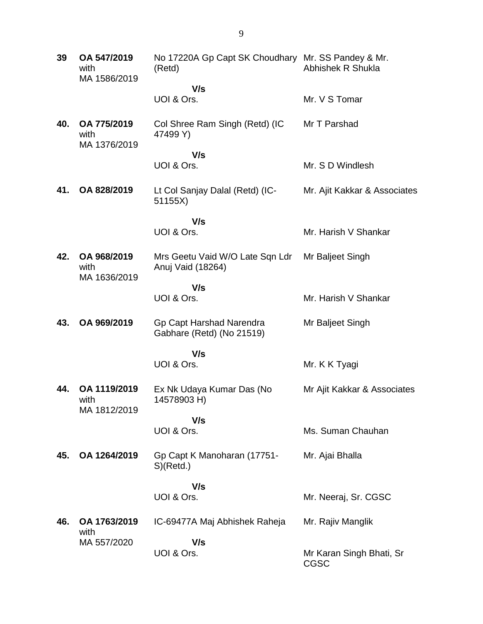**39 OA 547/2019** with MA 1586/2019 No 17220A Gp Capt SK Choudhary Mr. SS Pandey & Mr. (Retd)  **V/s** UOI & Ors. Abhishek R Shukla Mr. V S Tomar **40. OA 775/2019** with MA 1376/2019 Col Shree Ram Singh (Retd) (IC 47499 Y)  **V/s** UOI & Ors. Mr T Parshad Mr. S D Windlesh **41. OA 828/2019** Lt Col Sanjay Dalal (Retd) (IC-51155X)  **V/s** UOI & Ors. Mr. Ajit Kakkar & Associates Mr. Harish V Shankar **42. OA 968/2019** with MA 1636/2019 Mrs Geetu Vaid W/O Late Sqn Ldr Anuj Vaid (18264)  **V/s** UOI & Ors. Mr Baljeet Singh Mr. Harish V Shankar **43. OA 969/2019** Gp Capt Harshad Narendra Gabhare (Retd) (No 21519)  **V/s** UOI & Ors. Mr Baljeet Singh Mr. K K Tyagi **44. OA 1119/2019** with MA 1812/2019 Ex Nk Udaya Kumar Das (No 14578903 H)  **V/s** UOI & Ors. Mr Ajit Kakkar & Associates Ms. Suman Chauhan **45. OA 1264/2019** Gp Capt K Manoharan (17751- S)(Retd.)  **V/s** UOI & Ors. Mr. Ajai Bhalla Mr. Neeraj, Sr. CGSC **46. OA 1763/2019** with MA 557/2020 IC-69477A Maj Abhishek Raheja  **V/s** UOI & Ors. Mr. Rajiv Manglik Mr Karan Singh Bhati, Sr CGSC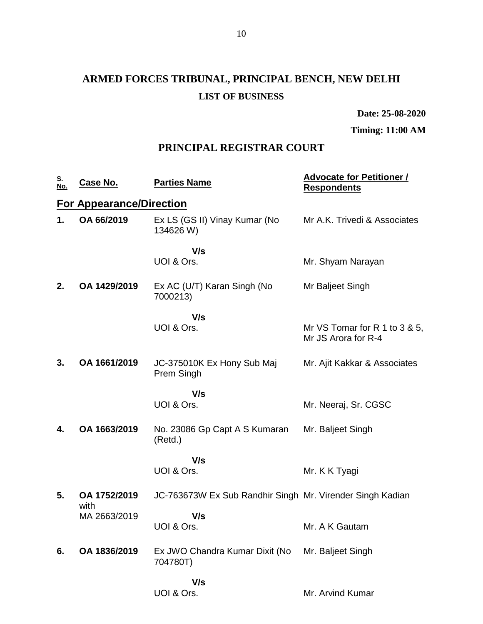# **ARMED FORCES TRIBUNAL, PRINCIPAL BENCH, NEW DELHI LIST OF BUSINESS**

**Date: 25-08-2020**

**Timing: 11:00 AM**

### **PRINCIPAL REGISTRAR COURT**

| <u>S.<br/>No.</u> | <u>Case No.</u>                 | <b>Parties Name</b>                                       | <b>Advocate for Petitioner /</b><br><b>Respondents</b> |
|-------------------|---------------------------------|-----------------------------------------------------------|--------------------------------------------------------|
|                   | <b>For Appearance/Direction</b> |                                                           |                                                        |
| 1.                | OA 66/2019                      | Ex LS (GS II) Vinay Kumar (No<br>134626 W)                | Mr A.K. Trivedi & Associates                           |
|                   |                                 | V/s                                                       |                                                        |
|                   |                                 | UOI & Ors.                                                | Mr. Shyam Narayan                                      |
| 2.                | OA 1429/2019                    | Ex AC (U/T) Karan Singh (No<br>7000213)                   | Mr Baljeet Singh                                       |
|                   |                                 | V/s                                                       |                                                        |
|                   |                                 | UOI & Ors.                                                | Mr VS Tomar for R 1 to 3 & 5,<br>Mr JS Arora for R-4   |
| 3.                | OA 1661/2019                    | JC-375010K Ex Hony Sub Maj<br>Prem Singh                  | Mr. Ajit Kakkar & Associates                           |
|                   |                                 | V/s                                                       |                                                        |
|                   |                                 | UOI & Ors.                                                | Mr. Neeraj, Sr. CGSC                                   |
| 4.                | OA 1663/2019                    | No. 23086 Gp Capt A S Kumaran<br>(Retd.)                  | Mr. Baljeet Singh                                      |
|                   |                                 | V/s                                                       |                                                        |
|                   |                                 | UOI & Ors.                                                | Mr. K K Tyagi                                          |
| 5.                | OA 1752/2019<br>with            | JC-763673W Ex Sub Randhir Singh Mr. Virender Singh Kadian |                                                        |
|                   | MA 2663/2019                    | V/s                                                       |                                                        |
|                   |                                 | UOI & Ors.                                                | Mr. A K Gautam                                         |
| 6.                | OA 1836/2019                    | Ex JWO Chandra Kumar Dixit (No<br>704780T)                | Mr. Baljeet Singh                                      |
|                   |                                 | V/s                                                       |                                                        |
|                   |                                 | UOI & Ors.                                                | Mr. Arvind Kumar                                       |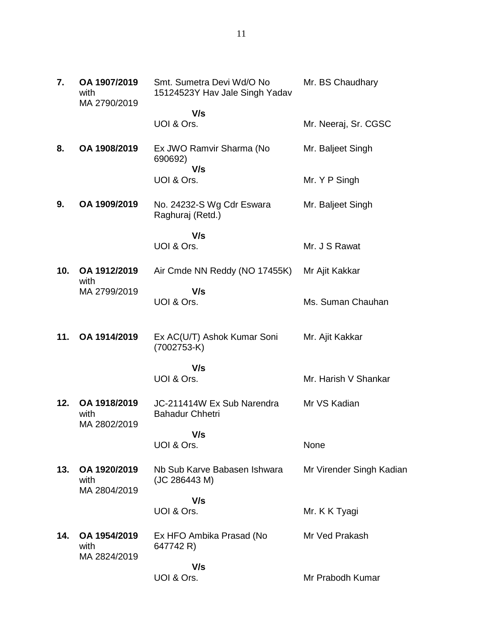Mr. BS Chaudhary

Ms. Suman Chauhan

Mr. Harish V Shankar

 **V/s** UOI & Ors. Mr. Neeraj, Sr. CGSC **8. OA 1908/2019** Ex JWO Ramvir Sharma (No 690692)  **V/s** UOI & Ors. Mr. Baljeet Singh Mr. Y P Singh **9. OA 1909/2019** No. 24232-S Wg Cdr Eswara Raghuraj (Retd.)  **V/s** UOI & Ors. Mr. Baljeet Singh Mr. J S Rawat **10. OA 1912/2019** MA 2799/2019 Air Cmde NN Reddy (NO 17455K)  **V/s** Mr Ajit Kakkar

UOI & Ors.

**7. OA 1907/2019** with

with

MA 2790/2019

**11. OA 1914/2019** Ex AC(U/T) Ashok Kumar Soni (7002753-K) Mr. Ajit Kakkar

> **V/s** UOI & Ors.

**12. OA 1918/2019** with MA 2802/2019 JC-211414W Ex Sub Narendra Bahadur Chhetri Mr VS Kadian

> **V/s** UOI & Ors.

None

**13. OA 1920/2019** with MA 2804/2019 Nb Sub Karve Babasen Ishwara (JC 286443 M) Mr Virender Singh Kadian

 **V/s** UOI & Ors.

Mr. K K Tyagi

**14. OA 1954/2019** with MA 2824/2019 Ex HFO Ambika Prasad (No 647742 R) Mr Ved Prakash

Mr Prabodh Kumar